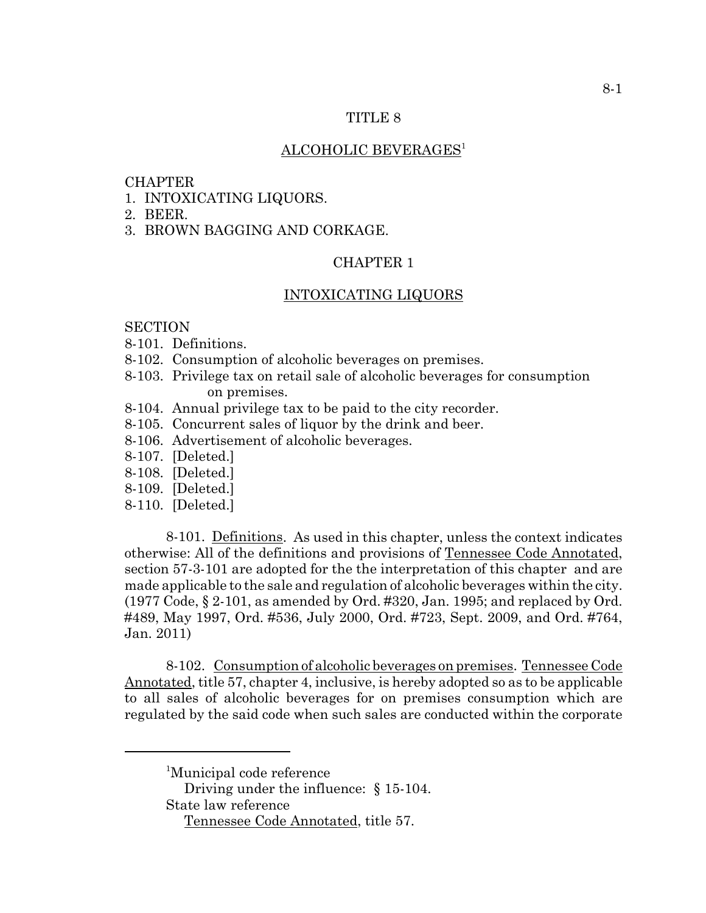### TITLE 8

# ALCOHOLIC BEVERAGES<sup>1</sup>

### **CHAPTER**

- 1. INTOXICATING LIQUORS.
- 2. BEER.
- 3. BROWN BAGGING AND CORKAGE.

# CHAPTER 1

### INTOXICATING LIQUORS

# **SECTION**

- 8-101. Definitions.
- 8-102. Consumption of alcoholic beverages on premises.
- 8-103. Privilege tax on retail sale of alcoholic beverages for consumption on premises.
- 8-104. Annual privilege tax to be paid to the city recorder.
- 8-105. Concurrent sales of liquor by the drink and beer.
- 8-106. Advertisement of alcoholic beverages.
- 8-107. [Deleted.]
- 8-108. [Deleted.]
- 8-109. [Deleted.]
- 8-110. [Deleted.]

8-101. Definitions. As used in this chapter, unless the context indicates otherwise: All of the definitions and provisions of Tennessee Code Annotated, section 57-3-101 are adopted for the the interpretation of this chapter and are made applicable to the sale and regulation of alcoholic beverages within the city.  $(1977 \text{ Code}, \S 2\n-101, \text{as amended by Ord. #320, Jan. 1995; and replaced by Ord.$ #489, May 1997, Ord. #536, July 2000, Ord. #723, Sept. 2009, and Ord. #764, Jan. 2011)

8-102. Consumption of alcoholic beverages on premises. Tennessee Code Annotated, title 57, chapter 4, inclusive, is hereby adopted so as to be applicable to all sales of alcoholic beverages for on premises consumption which are regulated by the said code when such sales are conducted within the corporate

Driving under the influence: § 15-104. State law reference

<sup>&</sup>lt;sup>1</sup>Municipal code reference

Tennessee Code Annotated, title 57.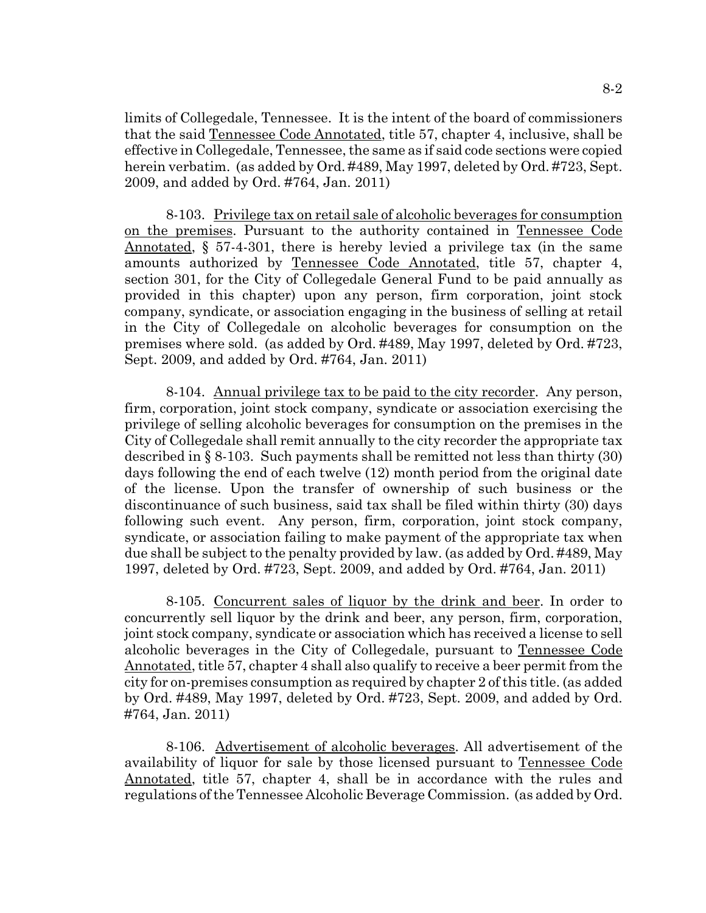limits of Collegedale, Tennessee. It is the intent of the board of commissioners that the said Tennessee Code Annotated, title 57, chapter 4, inclusive, shall be effective in Collegedale, Tennessee, the same as if said code sections were copied herein verbatim. (as added by Ord. #489, May 1997, deleted by Ord. #723, Sept. 2009, and added by Ord. #764, Jan. 2011)

8-103. Privilege tax on retail sale of alcoholic beverages for consumption on the premises. Pursuant to the authority contained in Tennessee Code Annotated, § 57-4-301, there is hereby levied a privilege tax (in the same amounts authorized by Tennessee Code Annotated, title 57, chapter 4, section 301, for the City of Collegedale General Fund to be paid annually as provided in this chapter) upon any person, firm corporation, joint stock company, syndicate, or association engaging in the business of selling at retail in the City of Collegedale on alcoholic beverages for consumption on the premises where sold. (as added by Ord. #489, May 1997, deleted by Ord. #723, Sept. 2009, and added by Ord. #764, Jan. 2011)

8-104. Annual privilege tax to be paid to the city recorder. Any person, firm, corporation, joint stock company, syndicate or association exercising the privilege of selling alcoholic beverages for consumption on the premises in the City of Collegedale shall remit annually to the city recorder the appropriate tax described in § 8-103. Such payments shall be remitted not less than thirty (30) days following the end of each twelve (12) month period from the original date of the license. Upon the transfer of ownership of such business or the discontinuance of such business, said tax shall be filed within thirty (30) days following such event. Any person, firm, corporation, joint stock company, syndicate, or association failing to make payment of the appropriate tax when due shall be subject to the penalty provided by law. (as added by Ord. #489, May 1997, deleted by Ord. #723, Sept. 2009, and added by Ord. #764, Jan. 2011)

8-105. Concurrent sales of liquor by the drink and beer. In order to concurrently sell liquor by the drink and beer, any person, firm, corporation, joint stock company, syndicate or association which has received a license to sell alcoholic beverages in the City of Collegedale, pursuant to Tennessee Code Annotated, title 57, chapter 4 shall also qualify to receive a beer permit from the city for on-premises consumption as required by chapter 2 of this title. (as added by Ord. #489, May 1997, deleted by Ord. #723, Sept. 2009, and added by Ord. #764, Jan. 2011)

8-106. Advertisement of alcoholic beverages. All advertisement of the availability of liquor for sale by those licensed pursuant to Tennessee Code Annotated, title 57, chapter 4, shall be in accordance with the rules and regulations of the Tennessee Alcoholic Beverage Commission. (as added by Ord.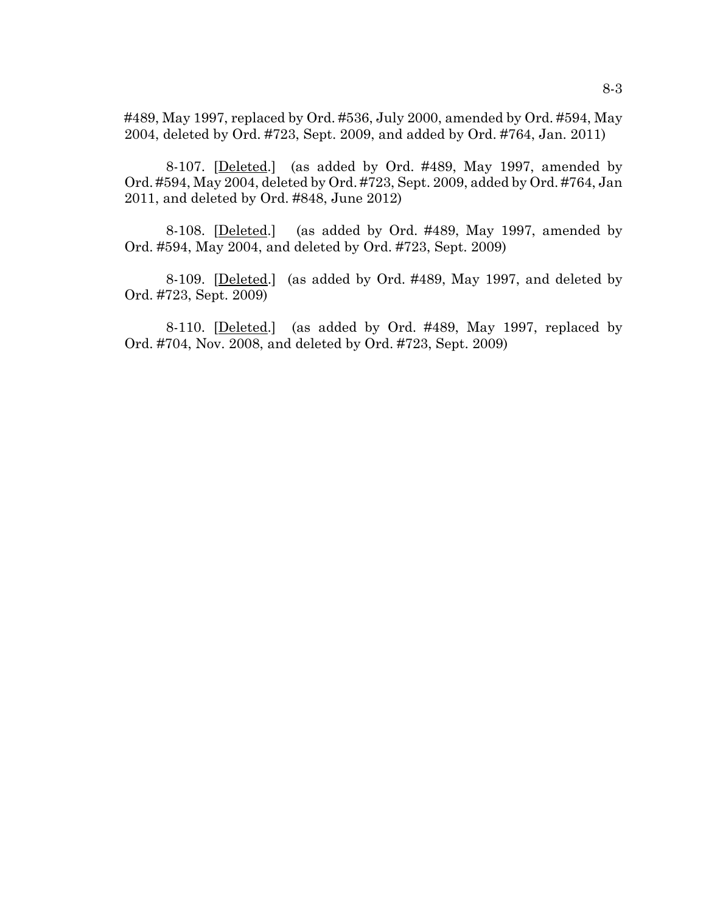#489, May 1997, replaced by Ord. #536, July 2000, amended by Ord. #594, May 2004, deleted by Ord. #723, Sept. 2009, and added by Ord. #764, Jan. 2011)

8-107. [Deleted.] (as added by Ord. #489, May 1997, amended by Ord. #594, May 2004, deleted by Ord. #723, Sept. 2009, added by Ord. #764, Jan 2011, and deleted by Ord. #848, June 2012)

8-108. [Deleted.] (as added by Ord. #489, May 1997, amended by Ord. #594, May 2004, and deleted by Ord. #723, Sept. 2009)

8-109. [Deleted.] (as added by Ord. #489, May 1997, and deleted by Ord. #723, Sept. 2009)

8-110. [Deleted.] (as added by Ord. #489, May 1997, replaced by Ord. #704, Nov. 2008, and deleted by Ord. #723, Sept. 2009)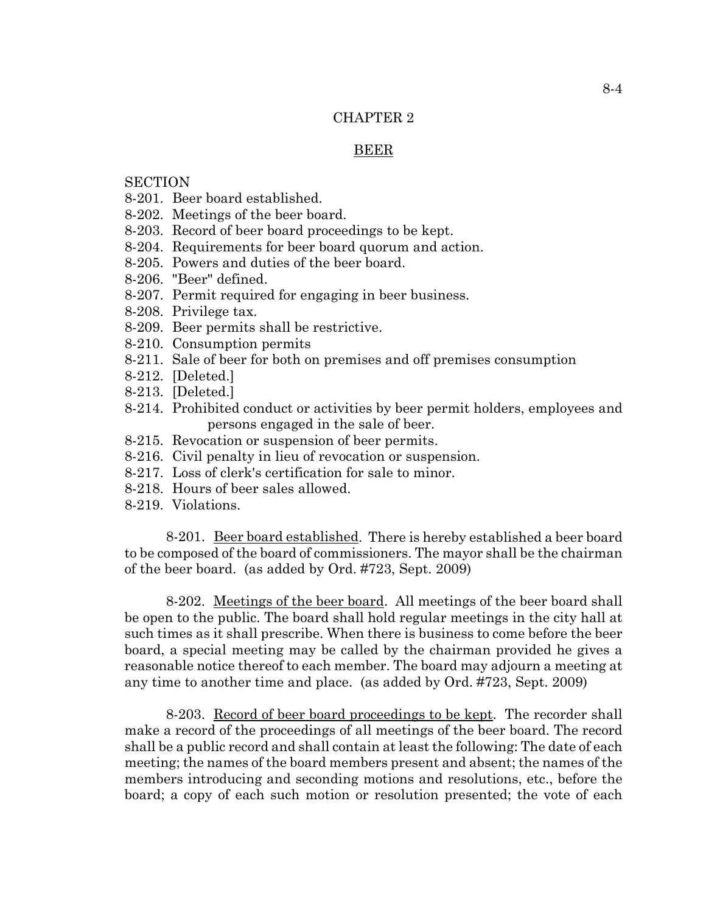# CHAPTER 2

## BEER

# **SECTION**

- 8-201. Beer board established.
- 8-202. Meetings of the beer board.
- 8-203. Record of beer board proceedings to be kept.
- 8-204. Requirements for beer board quorum and action.
- 8-205. Powers and duties of the beer board.
- 8-206. "Beer" defined.
- 8-207. Permit required for engaging in beer business.
- 8-208. Privilege tax.
- 8-209. Beer permits shall be restrictive.
- 8-210. Consumption permits
- 8-211. Sale of beer for both on premises and off premises consumption
- 8-212. [Deleted.]
- 8-213. [Deleted.]
- 8-214. Prohibited conduct or activities by beer permit holders, employees and persons engaged in the sale of beer.
- 8-215. Revocation or suspension of beer permits.
- 8-216. Civil penalty in lieu of revocation or suspension.
- 8-217. Loss of clerk's certification for sale to minor.
- 8-218. Hours of beer sales allowed.
- 8-219. Violations.

8-201. Beer board established. There is hereby established a beer board to be composed of the board of commissioners. The mayor shall be the chairman of the beer board. (as added by Ord. #723, Sept. 2009)

8-202. Meetings of the beer board. All meetings of the beer board shall be open to the public. The board shall hold regular meetings in the city hall at such times as it shall prescribe. When there is business to come before the beer board, a special meeting may be called by the chairman provided he gives a reasonable notice thereof to each member. The board may adjourn a meeting at any time to another time and place. (as added by Ord. #723, Sept. 2009)

8-203. Record of beer board proceedings to be kept. The recorder shall make a record of the proceedings of all meetings of the beer board. The record shall be a public record and shall contain at least the following: The date of each meeting; the names of the board members present and absent; the names of the members introducing and seconding motions and resolutions, etc., before the board; a copy of each such motion or resolution presented; the vote of each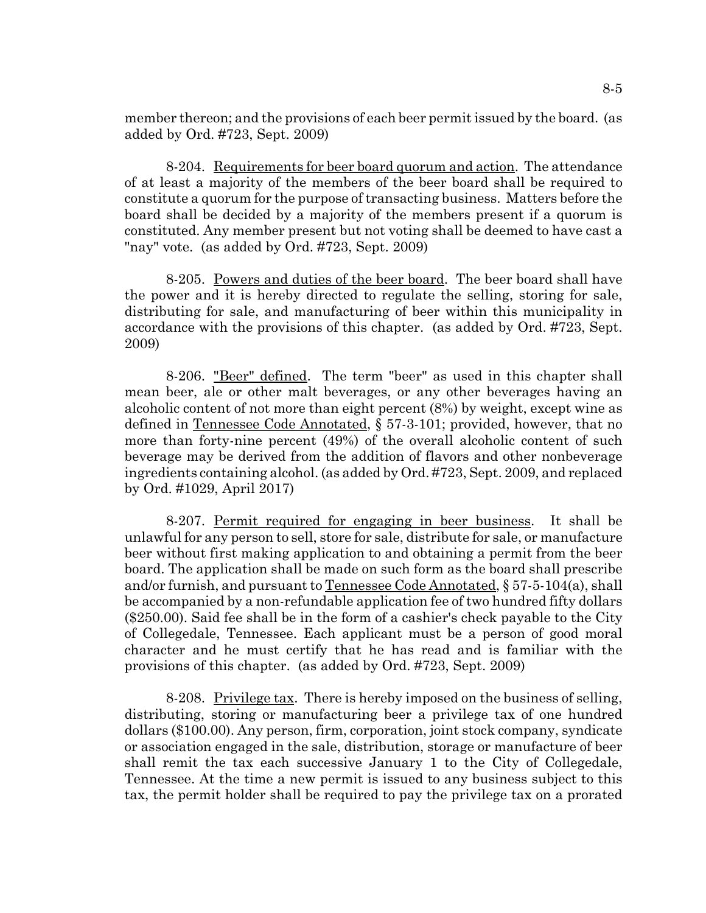member thereon; and the provisions of each beer permit issued by the board. (as added by Ord. #723, Sept. 2009)

8-204. Requirements for beer board quorum and action. The attendance of at least a majority of the members of the beer board shall be required to constitute a quorum for the purpose of transacting business. Matters before the board shall be decided by a majority of the members present if a quorum is constituted. Any member present but not voting shall be deemed to have cast a "nay" vote. (as added by Ord. #723, Sept. 2009)

8-205. Powers and duties of the beer board. The beer board shall have the power and it is hereby directed to regulate the selling, storing for sale, distributing for sale, and manufacturing of beer within this municipality in accordance with the provisions of this chapter. (as added by Ord. #723, Sept. 2009)

8-206. "Beer" defined. The term "beer" as used in this chapter shall mean beer, ale or other malt beverages, or any other beverages having an alcoholic content of not more than eight percent (8%) by weight, except wine as defined in Tennessee Code Annotated, § 57-3-101; provided, however, that no more than forty-nine percent (49%) of the overall alcoholic content of such beverage may be derived from the addition of flavors and other nonbeverage ingredients containing alcohol. (as added by Ord. #723, Sept. 2009, and replaced by Ord. #1029, April 2017)

8-207. Permit required for engaging in beer business. It shall be unlawful for any person to sell, store for sale, distribute for sale, or manufacture beer without first making application to and obtaining a permit from the beer board. The application shall be made on such form as the board shall prescribe and/or furnish, and pursuant to Tennessee Code Annotated, § 57-5-104(a), shall be accompanied by a non-refundable application fee of two hundred fifty dollars (\$250.00). Said fee shall be in the form of a cashier's check payable to the City of Collegedale, Tennessee. Each applicant must be a person of good moral character and he must certify that he has read and is familiar with the provisions of this chapter. (as added by Ord. #723, Sept. 2009)

8-208. Privilege tax. There is hereby imposed on the business of selling, distributing, storing or manufacturing beer a privilege tax of one hundred dollars (\$100.00). Any person, firm, corporation, joint stock company, syndicate or association engaged in the sale, distribution, storage or manufacture of beer shall remit the tax each successive January 1 to the City of Collegedale, Tennessee. At the time a new permit is issued to any business subject to this tax, the permit holder shall be required to pay the privilege tax on a prorated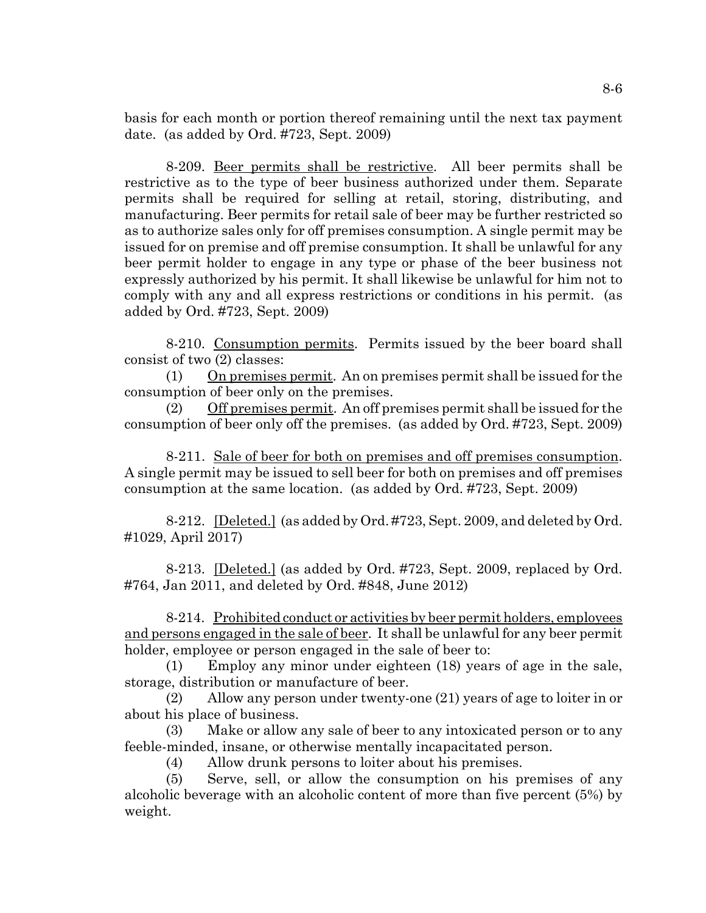basis for each month or portion thereof remaining until the next tax payment date. (as added by Ord. #723, Sept. 2009)

8-209. Beer permits shall be restrictive. All beer permits shall be restrictive as to the type of beer business authorized under them. Separate permits shall be required for selling at retail, storing, distributing, and manufacturing. Beer permits for retail sale of beer may be further restricted so as to authorize sales only for off premises consumption. A single permit may be issued for on premise and off premise consumption. It shall be unlawful for any beer permit holder to engage in any type or phase of the beer business not expressly authorized by his permit. It shall likewise be unlawful for him not to comply with any and all express restrictions or conditions in his permit. (as added by Ord. #723, Sept. 2009)

8-210. Consumption permits. Permits issued by the beer board shall consist of two (2) classes:

(1) On premises permit. An on premises permit shall be issued for the consumption of beer only on the premises.

(2) Off premises permit. An off premises permit shall be issued for the consumption of beer only off the premises. (as added by Ord. #723, Sept. 2009)

8-211. Sale of beer for both on premises and off premises consumption. A single permit may be issued to sell beer for both on premises and off premises consumption at the same location. (as added by Ord. #723, Sept. 2009)

8-212. [Deleted.] (as added by Ord. #723, Sept. 2009, and deleted by Ord. #1029, April 2017)

8-213. [Deleted.] (as added by Ord. #723, Sept. 2009, replaced by Ord. #764, Jan 2011, and deleted by Ord. #848, June 2012)

8-214. Prohibited conduct or activities by beer permit holders, employees and persons engaged in the sale of beer. It shall be unlawful for any beer permit holder, employee or person engaged in the sale of beer to:

(1) Employ any minor under eighteen (18) years of age in the sale, storage, distribution or manufacture of beer.

(2) Allow any person under twenty-one (21) years of age to loiter in or about his place of business.

(3) Make or allow any sale of beer to any intoxicated person or to any feeble-minded, insane, or otherwise mentally incapacitated person.

(4) Allow drunk persons to loiter about his premises.

(5) Serve, sell, or allow the consumption on his premises of any alcoholic beverage with an alcoholic content of more than five percent (5%) by weight.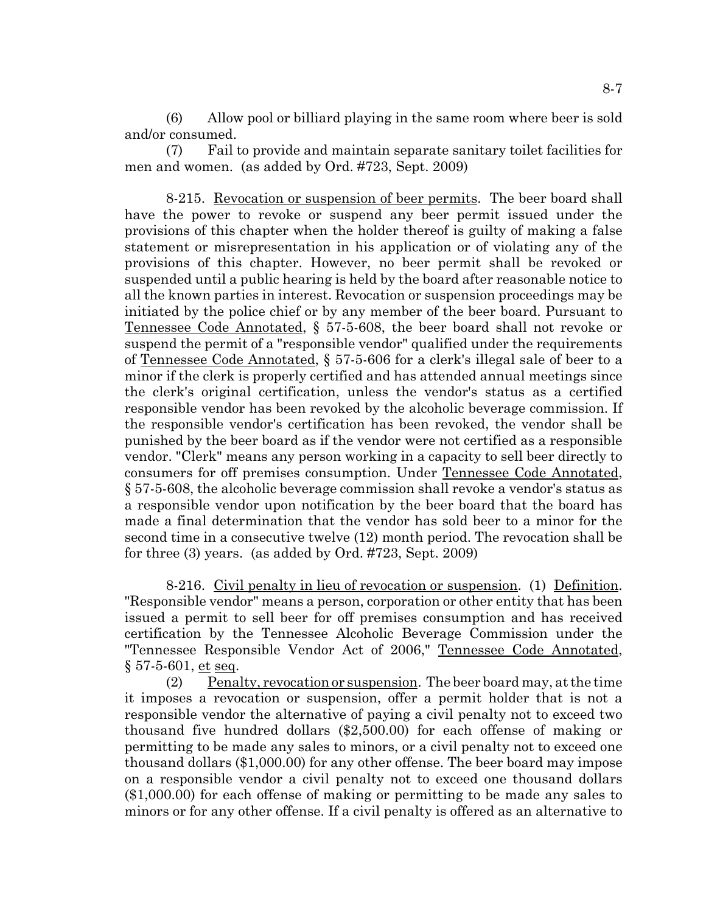(6) Allow pool or billiard playing in the same room where beer is sold and/or consumed.

(7) Fail to provide and maintain separate sanitary toilet facilities for men and women. (as added by Ord. #723, Sept. 2009)

8-215. Revocation or suspension of beer permits. The beer board shall have the power to revoke or suspend any beer permit issued under the provisions of this chapter when the holder thereof is guilty of making a false statement or misrepresentation in his application or of violating any of the provisions of this chapter. However, no beer permit shall be revoked or suspended until a public hearing is held by the board after reasonable notice to all the known parties in interest. Revocation or suspension proceedings may be initiated by the police chief or by any member of the beer board. Pursuant to Tennessee Code Annotated, § 57-5-608, the beer board shall not revoke or suspend the permit of a "responsible vendor" qualified under the requirements of Tennessee Code Annotated, § 57-5-606 for a clerk's illegal sale of beer to a minor if the clerk is properly certified and has attended annual meetings since the clerk's original certification, unless the vendor's status as a certified responsible vendor has been revoked by the alcoholic beverage commission. If the responsible vendor's certification has been revoked, the vendor shall be punished by the beer board as if the vendor were not certified as a responsible vendor. "Clerk" means any person working in a capacity to sell beer directly to consumers for off premises consumption. Under Tennessee Code Annotated, § 57-5-608, the alcoholic beverage commission shall revoke a vendor's status as a responsible vendor upon notification by the beer board that the board has made a final determination that the vendor has sold beer to a minor for the second time in a consecutive twelve (12) month period. The revocation shall be for three (3) years. (as added by Ord. #723, Sept. 2009)

8-216. Civil penalty in lieu of revocation or suspension. (1) Definition. "Responsible vendor" means a person, corporation or other entity that has been issued a permit to sell beer for off premises consumption and has received certification by the Tennessee Alcoholic Beverage Commission under the "Tennessee Responsible Vendor Act of 2006," Tennessee Code Annotated, § 57-5-601, et seq.

(2) Penalty, revocation or suspension. The beer board may, at the time it imposes a revocation or suspension, offer a permit holder that is not a responsible vendor the alternative of paying a civil penalty not to exceed two thousand five hundred dollars (\$2,500.00) for each offense of making or permitting to be made any sales to minors, or a civil penalty not to exceed one thousand dollars (\$1,000.00) for any other offense. The beer board may impose on a responsible vendor a civil penalty not to exceed one thousand dollars (\$1,000.00) for each offense of making or permitting to be made any sales to minors or for any other offense. If a civil penalty is offered as an alternative to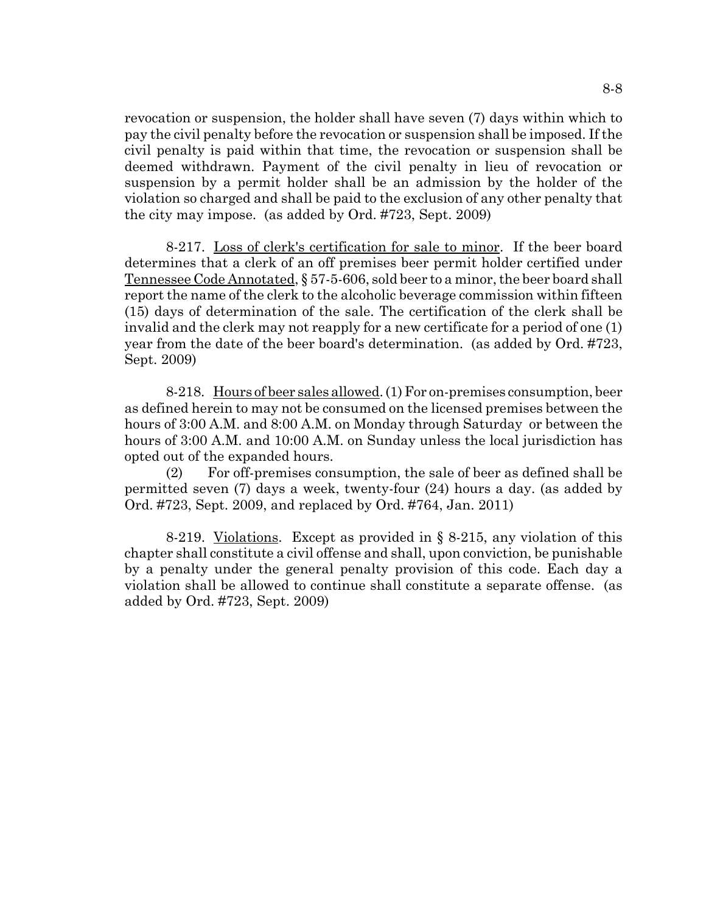revocation or suspension, the holder shall have seven (7) days within which to pay the civil penalty before the revocation or suspension shall be imposed. If the civil penalty is paid within that time, the revocation or suspension shall be deemed withdrawn. Payment of the civil penalty in lieu of revocation or suspension by a permit holder shall be an admission by the holder of the violation so charged and shall be paid to the exclusion of any other penalty that the city may impose. (as added by Ord. #723, Sept. 2009)

8-217. Loss of clerk's certification for sale to minor. If the beer board determines that a clerk of an off premises beer permit holder certified under Tennessee Code Annotated, § 57-5-606, sold beer to a minor, the beer board shall report the name of the clerk to the alcoholic beverage commission within fifteen (15) days of determination of the sale. The certification of the clerk shall be invalid and the clerk may not reapply for a new certificate for a period of one (1) year from the date of the beer board's determination. (as added by Ord. #723, Sept. 2009)

8-218. Hours of beer sales allowed. (1) For on-premises consumption, beer as defined herein to may not be consumed on the licensed premises between the hours of 3:00 A.M. and 8:00 A.M. on Monday through Saturday or between the hours of 3:00 A.M. and 10:00 A.M. on Sunday unless the local jurisdiction has opted out of the expanded hours.

(2) For off-premises consumption, the sale of beer as defined shall be permitted seven (7) days a week, twenty-four (24) hours a day. (as added by Ord. #723, Sept. 2009, and replaced by Ord. #764, Jan. 2011)

8-219. Violations. Except as provided in § 8-215, any violation of this chapter shall constitute a civil offense and shall, upon conviction, be punishable by a penalty under the general penalty provision of this code. Each day a violation shall be allowed to continue shall constitute a separate offense. (as added by Ord. #723, Sept. 2009)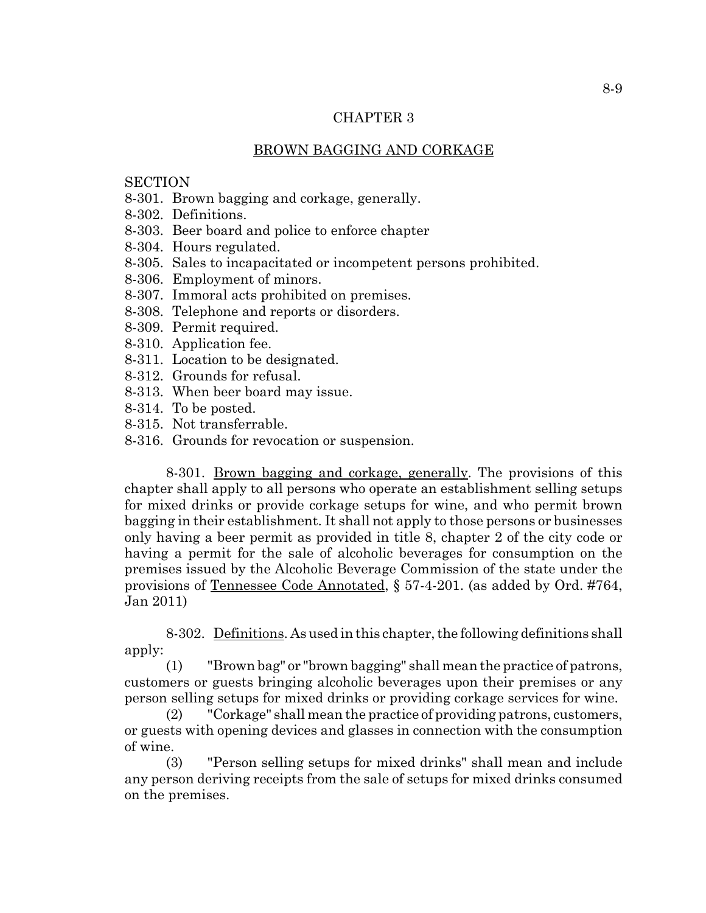### CHAPTER 3

## BROWN BAGGING AND CORKAGE

# **SECTION**

- 8-301. Brown bagging and corkage, generally.
- 8-302. Definitions.
- 8-303. Beer board and police to enforce chapter
- 8-304. Hours regulated.
- 8-305. Sales to incapacitated or incompetent persons prohibited.
- 8-306. Employment of minors.
- 8-307. Immoral acts prohibited on premises.
- 8-308. Telephone and reports or disorders.
- 8-309. Permit required.
- 8-310. Application fee.
- 8-311. Location to be designated.
- 8-312. Grounds for refusal.
- 8-313. When beer board may issue.
- 8-314. To be posted.
- 8-315. Not transferrable.
- 8-316. Grounds for revocation or suspension.

8-301. Brown bagging and corkage, generally. The provisions of this chapter shall apply to all persons who operate an establishment selling setups for mixed drinks or provide corkage setups for wine, and who permit brown bagging in their establishment. It shall not apply to those persons or businesses only having a beer permit as provided in title 8, chapter 2 of the city code or having a permit for the sale of alcoholic beverages for consumption on the premises issued by the Alcoholic Beverage Commission of the state under the provisions of Tennessee Code Annotated, § 57-4-201. (as added by Ord. #764, Jan 2011)

8-302. Definitions. As used in this chapter, the following definitions shall apply:

(1) "Brown bag" or "brown bagging" shall mean the practice of patrons, customers or guests bringing alcoholic beverages upon their premises or any person selling setups for mixed drinks or providing corkage services for wine.

(2) "Corkage" shall mean the practice of providing patrons, customers, or guests with opening devices and glasses in connection with the consumption of wine.

(3) "Person selling setups for mixed drinks" shall mean and include any person deriving receipts from the sale of setups for mixed drinks consumed on the premises.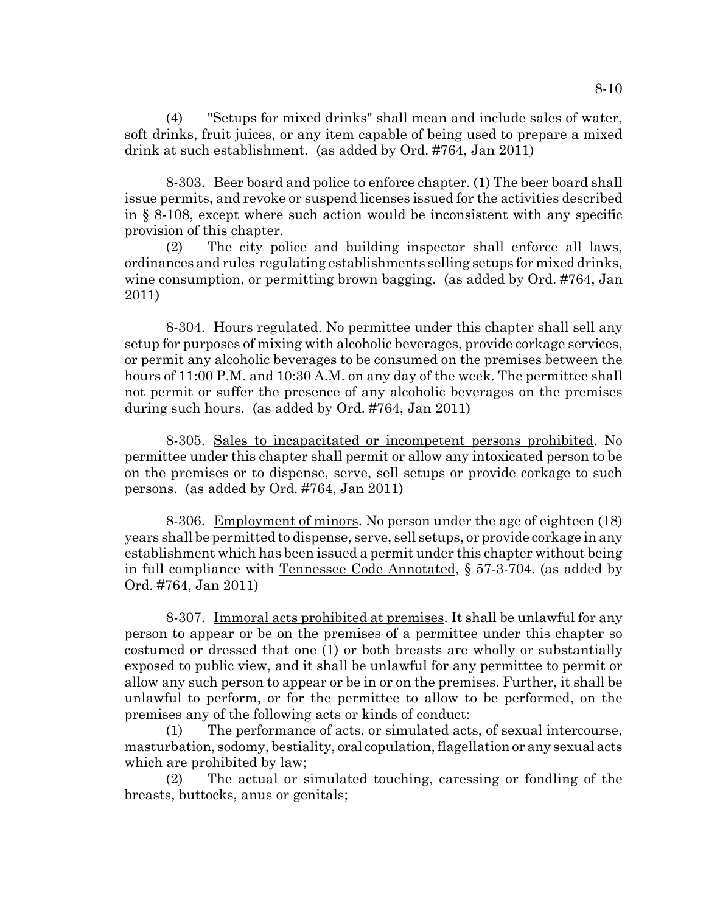(4) "Setups for mixed drinks" shall mean and include sales of water, soft drinks, fruit juices, or any item capable of being used to prepare a mixed drink at such establishment. (as added by Ord. #764, Jan 2011)

8-303. Beer board and police to enforce chapter. (1) The beer board shall issue permits, and revoke or suspend licenses issued for the activities described in § 8-108, except where such action would be inconsistent with any specific provision of this chapter.

(2) The city police and building inspector shall enforce all laws, ordinances and rules regulating establishments selling setups for mixed drinks, wine consumption, or permitting brown bagging. (as added by Ord. #764, Jan 2011)

8-304. Hours regulated. No permittee under this chapter shall sell any setup for purposes of mixing with alcoholic beverages, provide corkage services, or permit any alcoholic beverages to be consumed on the premises between the hours of 11:00 P.M. and 10:30 A.M. on any day of the week. The permittee shall not permit or suffer the presence of any alcoholic beverages on the premises during such hours. (as added by Ord. #764, Jan 2011)

8-305. Sales to incapacitated or incompetent persons prohibited. No permittee under this chapter shall permit or allow any intoxicated person to be on the premises or to dispense, serve, sell setups or provide corkage to such persons. (as added by Ord. #764, Jan 2011)

8-306. Employment of minors. No person under the age of eighteen (18) years shall be permitted to dispense, serve, sell setups, or provide corkage in any establishment which has been issued a permit under this chapter without being in full compliance with Tennessee Code Annotated, § 57-3-704. (as added by Ord. #764, Jan 2011)

8-307. Immoral acts prohibited at premises. It shall be unlawful for any person to appear or be on the premises of a permittee under this chapter so costumed or dressed that one (1) or both breasts are wholly or substantially exposed to public view, and it shall be unlawful for any permittee to permit or allow any such person to appear or be in or on the premises. Further, it shall be unlawful to perform, or for the permittee to allow to be performed, on the premises any of the following acts or kinds of conduct:

(1) The performance of acts, or simulated acts, of sexual intercourse, masturbation, sodomy, bestiality, oral copulation, flagellation or any sexual acts which are prohibited by law;

(2) The actual or simulated touching, caressing or fondling of the breasts, buttocks, anus or genitals;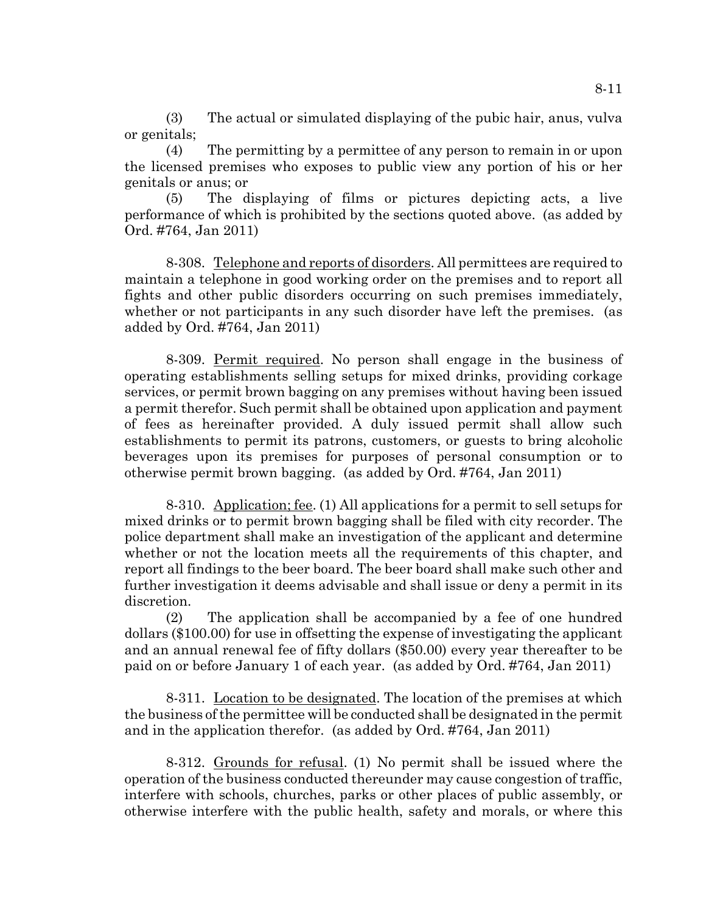(3) The actual or simulated displaying of the pubic hair, anus, vulva or genitals;

(4) The permitting by a permittee of any person to remain in or upon the licensed premises who exposes to public view any portion of his or her genitals or anus; or

(5) The displaying of films or pictures depicting acts, a live performance of which is prohibited by the sections quoted above. (as added by Ord. #764, Jan 2011)

8-308. Telephone and reports of disorders. All permittees are required to maintain a telephone in good working order on the premises and to report all fights and other public disorders occurring on such premises immediately, whether or not participants in any such disorder have left the premises. (as added by Ord. #764, Jan 2011)

8-309. Permit required. No person shall engage in the business of operating establishments selling setups for mixed drinks, providing corkage services, or permit brown bagging on any premises without having been issued a permit therefor. Such permit shall be obtained upon application and payment of fees as hereinafter provided. A duly issued permit shall allow such establishments to permit its patrons, customers, or guests to bring alcoholic beverages upon its premises for purposes of personal consumption or to otherwise permit brown bagging. (as added by Ord. #764, Jan 2011)

8-310. Application; fee. (1) All applications for a permit to sell setups for mixed drinks or to permit brown bagging shall be filed with city recorder. The police department shall make an investigation of the applicant and determine whether or not the location meets all the requirements of this chapter, and report all findings to the beer board. The beer board shall make such other and further investigation it deems advisable and shall issue or deny a permit in its discretion.

(2) The application shall be accompanied by a fee of one hundred dollars (\$100.00) for use in offsetting the expense of investigating the applicant and an annual renewal fee of fifty dollars (\$50.00) every year thereafter to be paid on or before January 1 of each year. (as added by Ord. #764, Jan 2011)

8-311. Location to be designated. The location of the premises at which the business of the permittee will be conducted shall be designated in the permit and in the application therefor. (as added by Ord. #764, Jan 2011)

8-312. Grounds for refusal. (1) No permit shall be issued where the operation of the business conducted thereunder may cause congestion of traffic, interfere with schools, churches, parks or other places of public assembly, or otherwise interfere with the public health, safety and morals, or where this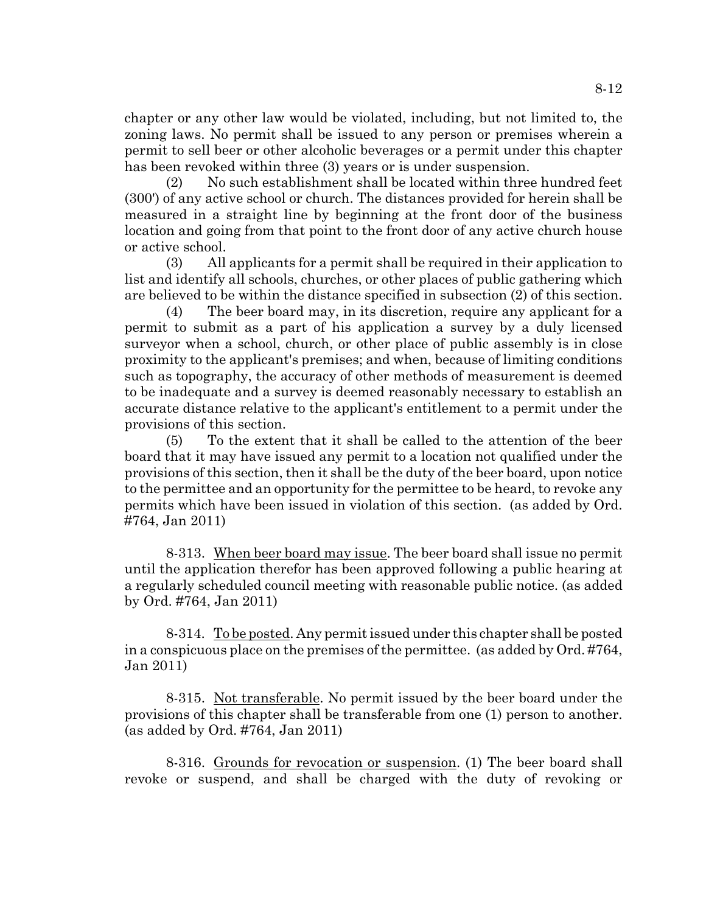chapter or any other law would be violated, including, but not limited to, the zoning laws. No permit shall be issued to any person or premises wherein a permit to sell beer or other alcoholic beverages or a permit under this chapter has been revoked within three (3) years or is under suspension.

(2) No such establishment shall be located within three hundred feet (300') of any active school or church. The distances provided for herein shall be measured in a straight line by beginning at the front door of the business location and going from that point to the front door of any active church house or active school.

(3) All applicants for a permit shall be required in their application to list and identify all schools, churches, or other places of public gathering which are believed to be within the distance specified in subsection (2) of this section.

(4) The beer board may, in its discretion, require any applicant for a permit to submit as a part of his application a survey by a duly licensed surveyor when a school, church, or other place of public assembly is in close proximity to the applicant's premises; and when, because of limiting conditions such as topography, the accuracy of other methods of measurement is deemed to be inadequate and a survey is deemed reasonably necessary to establish an accurate distance relative to the applicant's entitlement to a permit under the provisions of this section.

(5) To the extent that it shall be called to the attention of the beer board that it may have issued any permit to a location not qualified under the provisions of this section, then it shall be the duty of the beer board, upon notice to the permittee and an opportunity for the permittee to be heard, to revoke any permits which have been issued in violation of this section. (as added by Ord. #764, Jan 2011)

8-313. When beer board may issue. The beer board shall issue no permit until the application therefor has been approved following a public hearing at a regularly scheduled council meeting with reasonable public notice. (as added by Ord. #764, Jan 2011)

8-314. To be posted. Any permit issued under this chapter shall be posted in a conspicuous place on the premises of the permittee. (as added by Ord. #764, Jan 2011)

8-315. Not transferable. No permit issued by the beer board under the provisions of this chapter shall be transferable from one (1) person to another. (as added by Ord. #764, Jan 2011)

8-316. Grounds for revocation or suspension. (1) The beer board shall revoke or suspend, and shall be charged with the duty of revoking or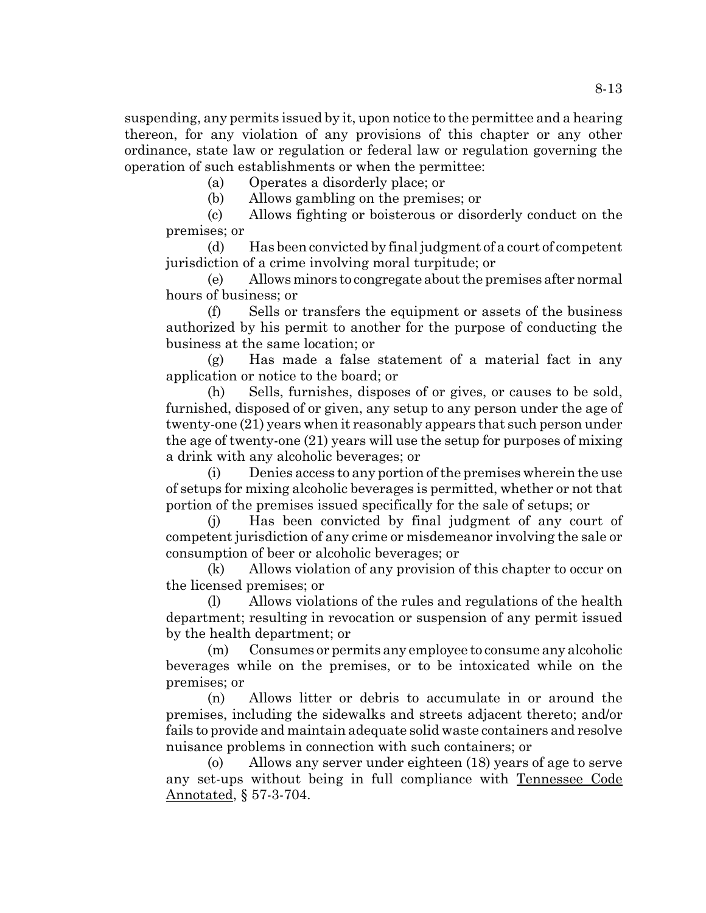suspending, any permits issued by it, upon notice to the permittee and a hearing thereon, for any violation of any provisions of this chapter or any other ordinance, state law or regulation or federal law or regulation governing the operation of such establishments or when the permittee:

(a) Operates a disorderly place; or

(b) Allows gambling on the premises; or

(c) Allows fighting or boisterous or disorderly conduct on the premises; or

(d) Has been convicted by final judgment of a court of competent jurisdiction of a crime involving moral turpitude; or

(e) Allows minors to congregate about the premises after normal hours of business; or

(f) Sells or transfers the equipment or assets of the business authorized by his permit to another for the purpose of conducting the business at the same location; or

(g) Has made a false statement of a material fact in any application or notice to the board; or

(h) Sells, furnishes, disposes of or gives, or causes to be sold, furnished, disposed of or given, any setup to any person under the age of twenty-one (21) years when it reasonably appears that such person under the age of twenty-one (21) years will use the setup for purposes of mixing a drink with any alcoholic beverages; or

(i) Denies access to any portion of the premises wherein the use of setups for mixing alcoholic beverages is permitted, whether or not that portion of the premises issued specifically for the sale of setups; or

(j) Has been convicted by final judgment of any court of competent jurisdiction of any crime or misdemeanor involving the sale or consumption of beer or alcoholic beverages; or

(k) Allows violation of any provision of this chapter to occur on the licensed premises; or

(l) Allows violations of the rules and regulations of the health department; resulting in revocation or suspension of any permit issued by the health department; or

(m) Consumes or permits any employee to consume any alcoholic beverages while on the premises, or to be intoxicated while on the premises; or

(n) Allows litter or debris to accumulate in or around the premises, including the sidewalks and streets adjacent thereto; and/or fails to provide and maintain adequate solid waste containers and resolve nuisance problems in connection with such containers; or

(o) Allows any server under eighteen (18) years of age to serve any set-ups without being in full compliance with Tennessee Code Annotated, § 57-3-704.